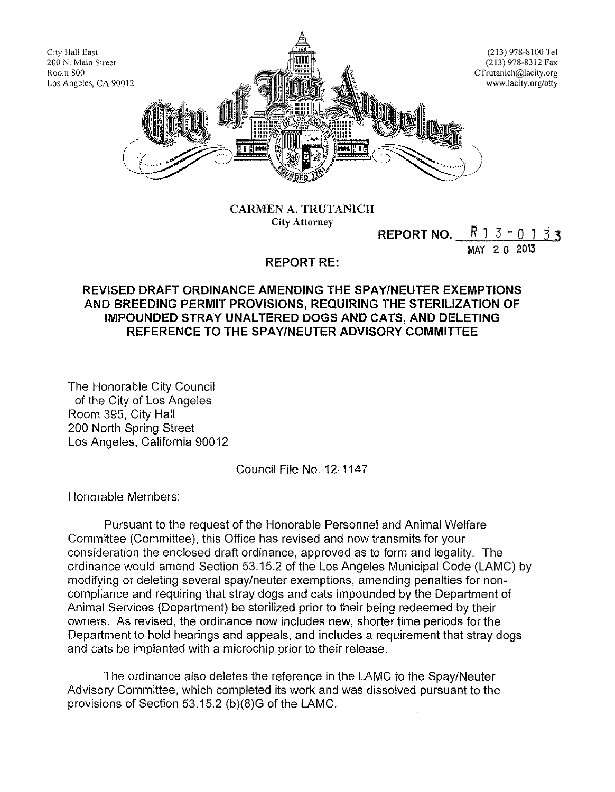

CARMEN A. TRUTANICH City Attorney

REPORT NO.  $R$  1 3 - 0 1  $2 n 2013$ 

#### REPORT RE:

### REVISED DRAFT ORDINANCE AMENDING THE SPAY/NEUTER EXEMPTIONS AND BREEDING PERMIT PROVISIONS, REQUIRING THE STERILIZATION OF IMPOUNDED STRAY UNALTERED DOGS AND CATS, AND DELETING REFERENCE TO THE SPAY/NEUTER ADVISORY COMMITTEE

The Honorable City Council of the City of Los Angeles Room 395, City Hall 200 North Spring Street Los Angeles, California 90012

Council File No. 12-1147

Honorable Members:

Pursuant to the request of the Honorable Personnel and Animal Welfare Committee (Committee), this Office has revised and now transmits for your consideration the enclosed draft ordinance, approved as to form and legality. The ordinance would amend Section 53.15.2 of the Los Angeles Municipal Code (LAMC) by modifying or deleting several spay/neuter exemptions, amending penalties for noncompliance and requiring that stray dogs and cats impounded by the Department of Animal Services (Department) be sterilized prior to their being redeemed by their owners. As revised, the ordinance now includes new, shorter time periods for the Department to hold hearings and appeals, and includes a requirement that stray dogs and cats be implanted with a microchip prior to their release.

The ordinance also deletes the reference in the LAMC to the Spay/Neuter Advisory Committee, which completed its work and was dissolved pursuant to the provisions of Section 53.15.2 (b)(8)G of the LAMC.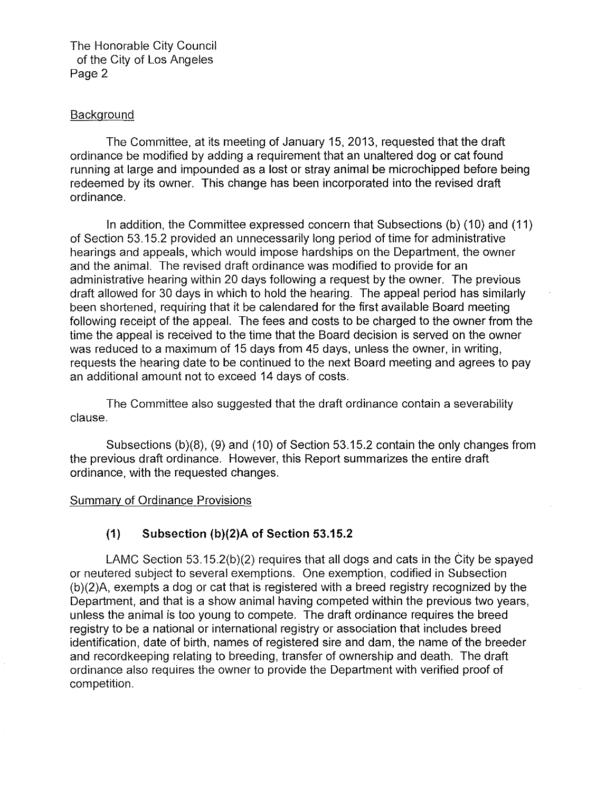The Honorable City Council of the City of Los Angeles Page 2

### **Background**

The Committee, at its meeting of January 15, 2013, requested that the draft ordinance be modified by adding a requirement that an unaltered dog or cat found running at large and impounded as a lost or stray animal be microchipped before being redeemed by its owner. This change has been incorporated into the revised draft ordinance.

In addition, the Committee expressed concern that Subsections (b) (10) and (11) of Section 53.15.2 provided an unnecessarily long period of time for administrative hearings and appeals, which would impose hardships on the Department, the owner and the animal. The revised draft ordinance was modified to provide for an administrative hearing within 20 days following a request by the owner. The previous draft allowed for 30 days in which to hold the hearing. The appeal period has similarly been shortened, requiring that it be calendared for the first available Board meeting following receipt of the appeal. The fees and costs to be charged to the owner from the time the appeal is received to the time that the Board decision is served on the owner was reduced to a maximum of 15 days from 45 days, unless the owner, in writing, requests the hearing date to be continued to the next Board meeting and agrees to pay an additional amount not to exceed 14 days of costs.

The Committee also suggested that the draft ordinance contain a severability clause.

Subsections  $(b)(8)$ ,  $(9)$  and  $(10)$  of Section 53.15.2 contain the only changes from the previous draft ordinance. However, this Report summarizes the entire draft ordinance, with the requested changes.

#### Summary of Ordinance Provisions

# **(1) Subsection (b)(2)A of Section 53.15.2**

LAMC Section 53. 15.2(b)(2) requires that all dogs and cats in the City be spayed or neutered subject to several exemptions. One exemption, codified in Subsection (b)(2)A, exempts a dog or cat that is registered with a breed registry recognized by the Department, and that is a show animal having competed within the previous two years, unless the animal is too young to compete. The draft ordinance requires the breed registry to be a national or international registry or association that includes breed identification, date of birth, names of registered sire and dam, the name of the breeder and record keeping relating to breeding, transfer of ownership and death. The draft ordinance also requires the owner to provide the Department with verified proof of competition.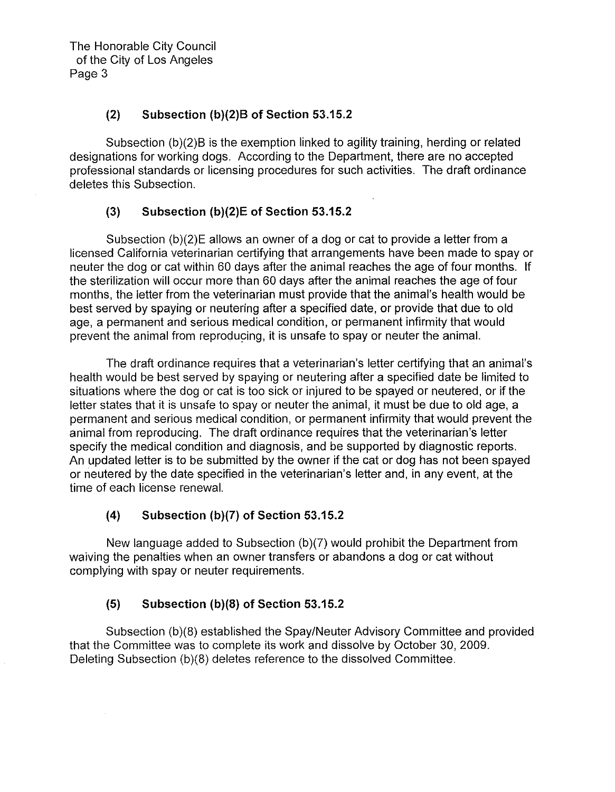The Honorable City Council of the City of Los Angeles Page 3

### **(2) Subsection (b)(2)B of Section 53.15.2**

Subsection (b)(2)B is the exemption linked to agility training, herding or related designations for working dogs. According to the Department, there are no accepted professional standards or licensing procedures for such activities. The draft ordinance deletes this Subsection.

### **(3) Subsection (b)(2)E of Section 53.15.2**

Subsection (b)(2)E allows an owner of a dog or cat to provide a letter from a licensed California veterinarian certifying that arrangements have been made to spay or neuter the dog or cat within 60 days after the animal reaches the age of four months. If the sterilization will occur more than 60 days after the animal reaches the age of four months, the letter from the veterinarian must provide that the animal's health would be best served by spaying or neutering after a specified date, or provide that due to old age, a permanent and serious medical condition, or permanent infirmity that would prevent the animal from reproducing, it is unsafe to spay or neuter the animal.

The draft ordinance requires that a veterinarian's letter certifying that an animal's health would be best served by spaying or neutering after a specified date be limited to situations where the dog or cat is too sick or injured to be spayed or neutered, or if the letter states that it is unsafe to spay or neuter the animal, it must be due to old age, a permanent and serious medical condition, or permanent infirmity that would prevent the animal from reproducing. The draft ordinance requires that the veterinarian's letter specify the medical condition and diagnosis, and be supported by diagnostic reports. An updated letter is to be submitted by the owner if the cat or dog has not been spayed or neutered by the date specified in the veterinarian's letter and, in any event, at the time of each license renewal.

### **(4) Subsection (b)(7) of Section 53.15.2**

New language added to Subsection (b)(7) would prohibit the Department from waiving the penalties when an owner transfers or abandons a dog or cat without complying with spay or neuter requirements.

# **(5) Subsection (b)(S) of Section 53.15.2**

Subsection (b)(8) established the Spay/Neuter Advisory Committee and provided that the Committee was to complete its work and dissolve by October 30, 2009. Deleting Subsection (b)(8) deletes reference to the dissolved Committee.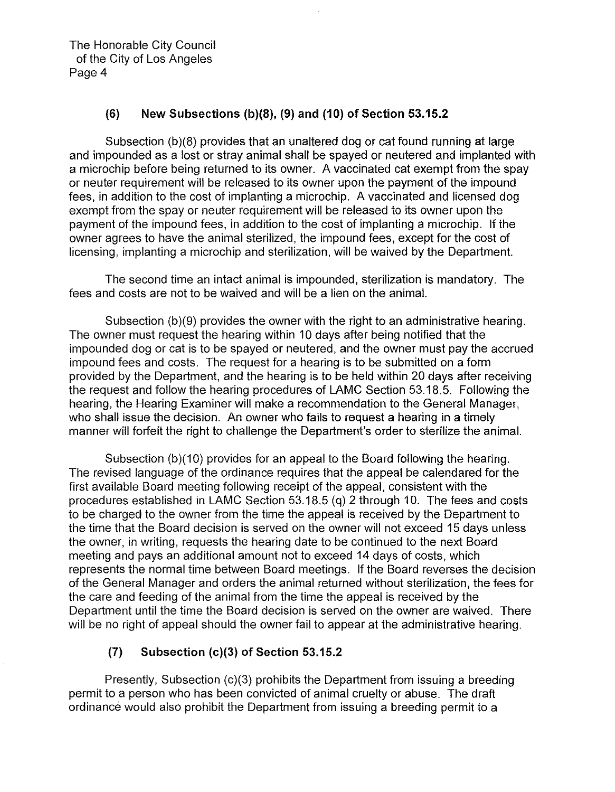The Honorable City Council of the City of Los Angeles Page 4

### **(6) New Subsections** (b)(S), **(9) and (10) of Section 53.15.2**

Subsection (b)(8) provides that an unaltered dog or cat found running at large and impounded as a lost or stray animal shall be spayed or neutered and implanted with a microchip before being returned to its owner. A vaccinated cat exempt from the spay or neuter requirement will be released to its owner upon the payment of the impound fees, in addition to the cost of implanting a microchip. A vaccinated and licensed dog exempt from the spay or neuter requirement will be released to its owner upon the payment of the impound fees, in addition to the cost of implanting a microchip. If the owner agrees to have the animal sterilized, the impound fees, except for the cost of licensing, implanting a microchip and sterilization, will be waived by the Department.

The second time an intact animal is impounded, sterilization is mandatory. The fees and costs are not to be waived and will be a lien on the animal.

Subsection (b)(9) provides the owner with the right to an administrative hearing. The owner must request the hearing within 10 days after being notified that the impounded dog or cat is to be spayed or neutered, and the owner must pay the accrued impound fees and costs. The request for a hearing is to be submitted on a form provided by the Department, and the hearing is to be held within 20 days after receiving the request and follow the hearing procedures of LAMC Section 53.18.5. Following the hearing, the Hearing Examiner will make a recommendation to the General Manager, who shall issue the decision. An owner who fails to request a hearing in a timely manner will forfeit the right to challenge the Department's order to sterilize the animal.

Subsection (b)(10) provides for an appeal to the Board following the hearing. The revised language of the ordinance requires that the appeal be calendared for the first available Board meeting following receipt of the appeal, consistent with the procedures established in LAMC Section 53.18.5 (q) 2 through 10. The fees and costs to be charged to the owner from the time the appeal is received by the Department to the time that the Board decision is served on the owner will not exceed 15 days unless the owner, in writing, requests the hearing date to be continued to the next Board meeting and pays an additional amount not to exceed 14 days of costs, which represents the normal time between Board meetings. If the Board reverses the decision of the General Manager and orders the animal returned without sterilization, the fees for the care and feeding of the animal from the time the appeal is received by the Department until the time the Board decision is served on the owner are waived. There will be no right of appeal should the owner fail to appear at the administrative hearing.

# **(7) Subsection** (c)(3) **of Section 53.15.2**

Presently, Subsection (c)(3) prohibits the Department from issuing a breeding permit to a person who has been convicted of animal cruelty or abuse. The draft ordinance would also prohibit the Department from issuing a breeding permit to a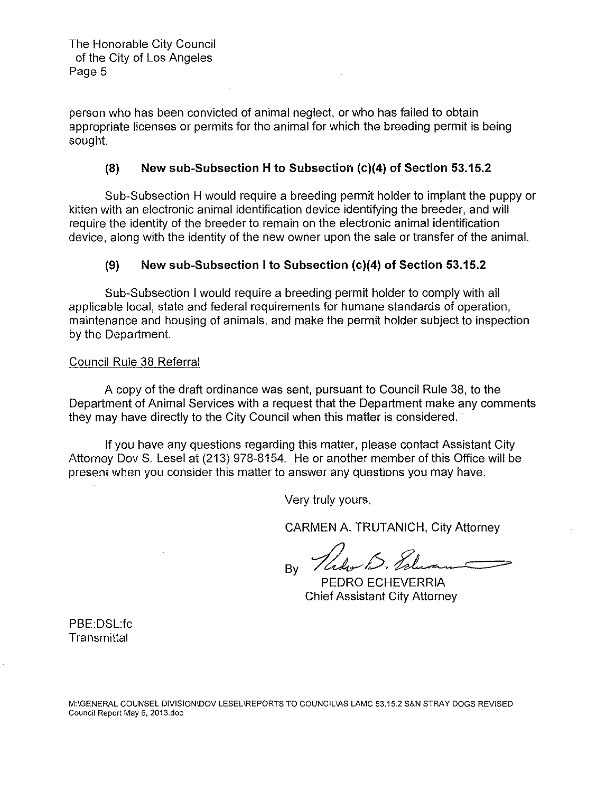person who has been convicted of animal neglect, or who has failed to obtain appropriate licenses or permits for the animal for which the breeding permit is being sought.

#### **(8) New sub-Subsection H to Subsection {c)(4) of Section 53.15.2**

Sub-Subsection H would require a breeding permit holder to implant the puppy or kitten with an electronic animal identification device identifying the breeder, and will require the identity of the breeder to remain on the electronic animal identification device, along with the identity of the new owner upon the sale or transfer of the animal.

### **(9) New sub-Subsection I to Subsection {c){4) of Section 53.15.2**

Sub-Subsection I would require a breeding permit holder to comply with all applicable local, state and federal requirements for humane standards of operation, maintenance and housing of animals, and make the permit holder subject to inspection by the Department.

#### Council Rule 38 Referral

A copy of the draft ordinance was sent, pursuant to Council Rule 38, to the Department of Animal Services with a request that the Department make any comments they may have directly to the City Council when this matter is considered.

If you have any questions regarding this matter, please contact Assistant City Attorney Dov S. Lesel at (213) 978-8154. He or another member of this Office will be present when you consider this matter to answer any questions you may have.

Very truly yours,

CARMEN A. TRUTANICH, City Attorney

By *Valumen*<br>PEDRO ECHEVERRIA Chief Assistant City Attorney

PBE:DSL:fc **Transmittal**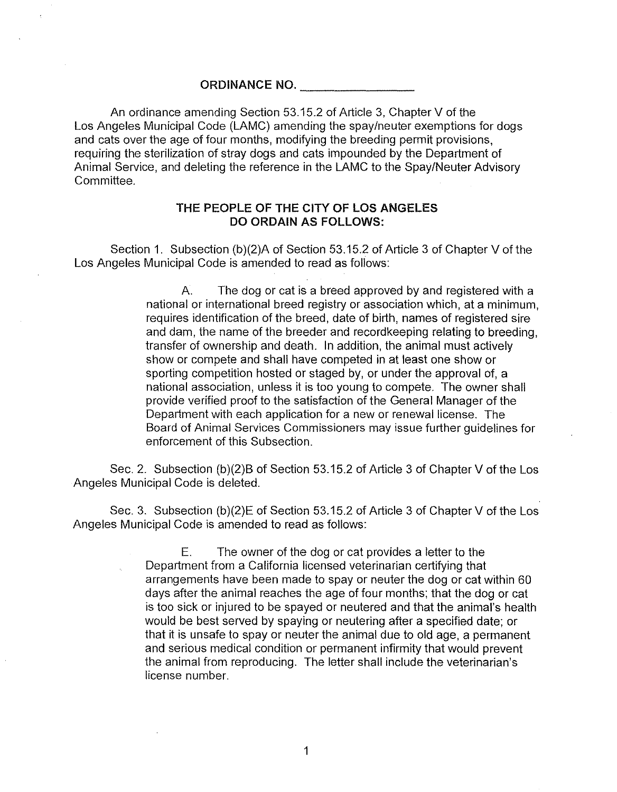**ORDINANCE NO.** 

An ordinance amending Section 53.15.2 of Article 3, Chapter V of the Los Angeles Municipal Code (LAMC) amending the spay/neuter exemptions for dogs and cats over the age of four months, modifying the breeding permit provisions, requiring the sterilization of stray dogs and cats impounded by the Department of Animal Service, and deleting the reference in the LAMC to the Spay/Neuter Advisory Committee.

### **THE PEOPLE OF THE CITY OF LOS ANGELES DO ORDAIN AS FOLLOWS:**

Section 1. Subsection (b)(2)A of Section 53.15.2 of Article 3 of Chapter V of the Los Angeles Municipal Code is amended to read as follows:

> A. The dog or cat is a breed approved by and registered with a national or international breed registry or association which, at a minimum, requires identification of the breed, date of birth, names of registered sire and dam, the name of the breeder and record keeping relating to breeding, transfer of ownership and death. In addition, the animal must actively show or compete and shall have competed in at least one show or sporting competition hosted or staged by, or under the approval of, a national association, unless it is too young to compete. The owner shall provide verified proof to the satisfaction of the General Manager of the Department with each application for a new or renewal license. The Board of Animal Services Commissioners may issue further guidelines for enforcement of this Subsection.

Sec. 2. Subsection (b)(2)B of Section 53.15.2 of Article 3 of Chapter V of the Los Angeles Municipal Code is deleted.

Sec. 3. Subsection (b)(2)E of Section 53.15.2 of Article 3 of Chapter V of the Los Angeles Municipal Code is amended to read as follows:

> E. The owner of the dog or cat provides a letter to the Department from a California licensed veterinarian certifying that arrangements have been made to spay or neuter the dog or cat within 60 days after the animal reaches the age of four months; that the dog or cat is too sick or injured to be spayed or neutered and that the animal's health would be best served by spaying or neutering after a specified date; or that it is unsafe to spay or neuter the animal due to old age, a permanent and serious medical condition or permanent infirmity that would prevent the animal from reproducing. The letter shall include the veterinarian's license number.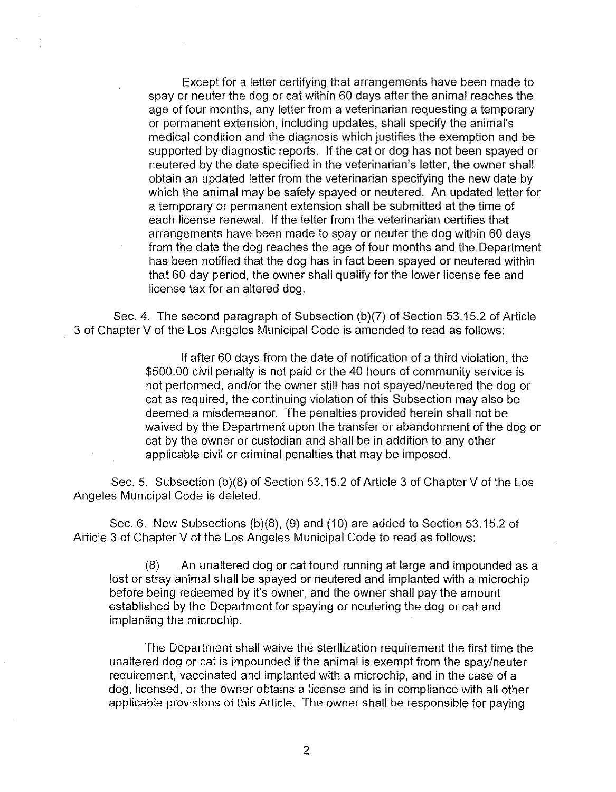Except for a letter certifying that arrangements have been made to spay or neuter the dog or cat within 60 days after the animal reaches the age of four months, any letter from a veterinarian requesting a temporary or permanent extension, including updates, shall specify the animal's medical condition and the diagnosis which justifies the exemption and be supported by diagnostic reports. If the cat or dog has not been spayed or neutered by the date specified in the veterinarian's letter, the owner shall obtain an updated letter from the veterinarian specifying the new date by which the animal may be safely spayed or neutered. An updated letter for a temporary or permanent extension shall be submitted at the time of each license renewal. If the letter from the veterinarian certifies that arrangements have been made to spay or neuter the dog within 60 days from the date the dog reaches the age of four months and the Department has been notified that the dog has in fact been spayed or neutered within that 60-day period, the owner shall qualify for the lower license fee and license tax for an altered dog.

Sec. 4. The second paragraph of Subsection (b)(7) of Section 53.15.2 of Article 3 of Chapter V of the Los Angeles Municipal Code is amended to read as follows:

> If after 60 days from the date of notification of a third violation, the \$500.00 civil penalty is not paid or the 40 hours of community service is not performed, and/or the owner still has not spayed/neutered the dog or cat as required, the continuing violation of this Subsection may also be deemed a misdemeanor. The penalties provided herein shall not be waived by the Department upon the transfer or abandonment of the dog or cat by the owner or custodian and shall be in addition to any other applicable civil or criminal penalties that may be imposed.

Sec. 5. Subsection (b)(S) of Section 53.15.2 of Article 3 of Chapter V of the Los Angeles Municipal Code is deleted.

Sec. 6. New Subsections (b)(8), (9) and (10) are added to Section 53.15.2 of Article 3 of Chapter V of the Los Angeles Municipal Code to read as follows:

(8) An unaltered dog or cat found running at large and impounded as a lost or stray animal shall be spayed or neutered and implanted with a microchip before being redeemed by it's owner, and the owner shall pay the amount established by the Department for spaying or neutering the dog or cat and implanting the microchip.

The Department shall waive the sterilization requirement the first time the unaltered dog or cat is impounded if the animal is exempt from the spay/neuter requirement, vaccinated and implanted with a microchip, and in the case of a dog, licensed, or the owner obtains a license and is in compliance with all other applicable provisions of this Article. The owner shall be responsible for paying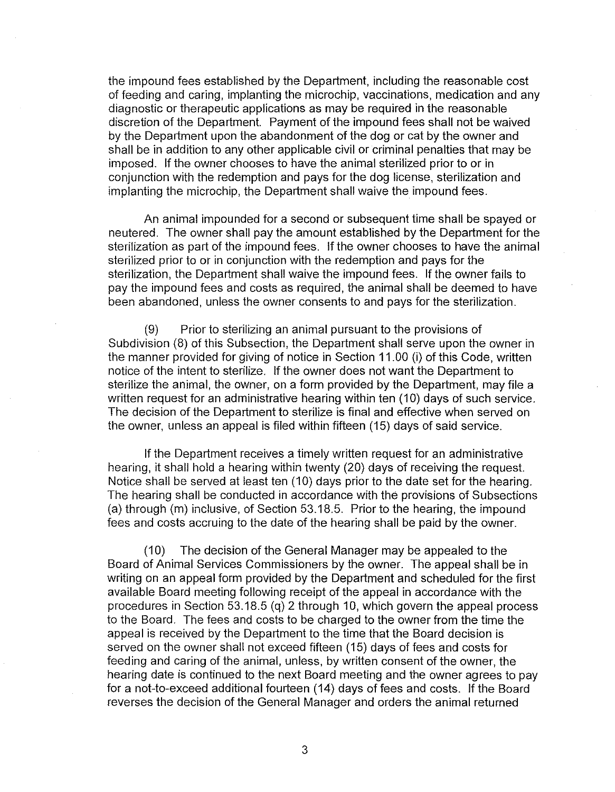the impound fees established by the Department, including the reasonable cost of feeding and caring, implanting the microchip, vaccinations, medication and any diagnostic or therapeutic applications as may be required in the reasonable discretion of the Department. Payment of the impound fees shall not be waived by the Department upon the abandonment of the dog or cat by the owner and shall be in addition to any other applicable civil or criminal penalties that may be imposed. If the owner chooses to have the animal sterilized prior to or in conjunction with the redemption and pays for the dog license, sterilization and implanting the microchip, the Department shall waive the impound fees.

An animal impounded for a second or subsequent time shall be spayed or neutered. The owner shall pay the amount established by the Department for the sterilization as part of the impound fees. If the owner chooses to have the animal sterilized prior to or in conjunction with the redemption and pays for the sterilization, the Department shall waive the impound fees. If the owner fails to pay the impound fees and costs as required, the animal shall be deemed to have been abandoned, unless the owner consents to and pays for the sterilization.

(9) Prior to sterilizing an animal pursuant to the provisions of Subdivision (8) of this Subsection, the Department shall serve upon the owner in the manner provided for giving of notice in Section 11.00 (i) of this Code, written notice of the intent to sterilize. If the owner does not want the Department to sterilize the animal, the owner, on a form provided by the Department, may file a written request for an administrative hearing within ten (10) days of such service. The decision of the Department to sterilize is final and effective when served on the owner, unless an appeal is filed within fifteen (15) days of said service.

If the Department receives a timely written request for an administrative hearing, it shall hold a hearing within twenty (20) days of receiving the request. Notice shall be served at least ten (10) days prior to the date set for the hearing. The hearing shall be conducted in accordance with the provisions of Subsections (a) through (m) inclusive, of Section 53.18.5. Prior to the hearing, the impound fees and costs accruing to the date of the hearing shall be paid by the owner.

(10) The decision of the General Manager may be appealed to the Board of Animal Services Commissioners by the owner. The appeal shall be in writing on an appeal form provided by the Department and scheduled for the first available Board meeting following receipt of the appeal in accordance with the procedures in Section 53.18.5 (q) 2 through 10, which govern the appeal process to the Board. The fees and costs to be charged to the owner from the time the appeal is received by the Department to the time that the Board decision is served on the owner shall not exceed fifteen (15) days of fees and costs for feeding and caring of the animal, unless, by written consent of the owner, the hearing date is continued to the next Board meeting and the owner agrees to pay for a not-to-exceed additional fourteen (14) days of fees and costs. If the Board reverses the decision of the General Manager and orders the animal returned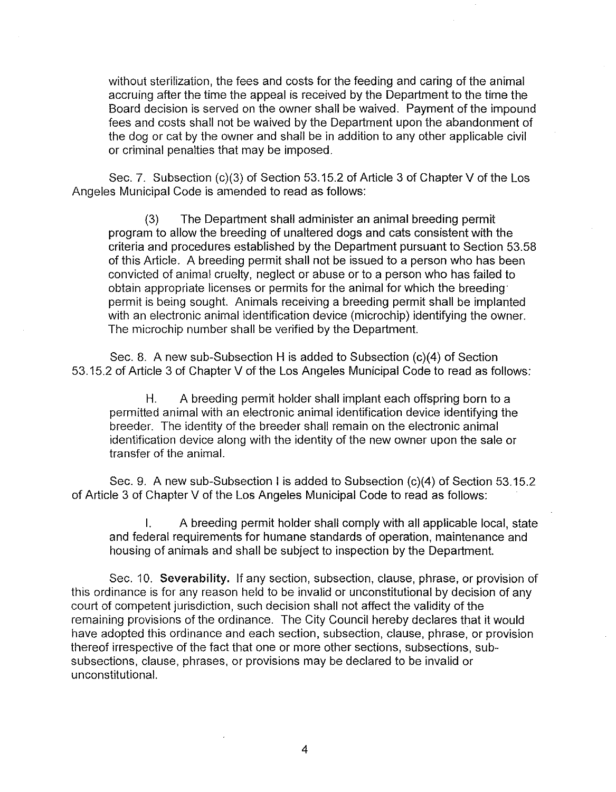without sterilization, the fees and costs for the feeding and caring of the animal accruing after the time the appeal is received by the Department to the time the Board decision is served on the owner shall be waived. Payment of the impound fees and costs shall not be waived by the Department upon the abandonment of the dog or cat by the owner and shall be in addition to any other applicable civil or criminal penalties that may be imposed.

Sec. 7. Subsection (c)(3) of Section 53.15.2 of Article 3 of Chapter V of the Los Angeles Municipal Code is amended to read as follows:

(3) The Department shall administer an animal breeding permit program to allow the breeding of unaltered dogs and cats consistent with the criteria and procedures established by the Department pursuant to Section 53.58 of this Article. A breeding permit shall not be issued to a person who has been convicted of animal cruelty, neglect or abuse or to a person who has failed to obtain appropriate licenses or permits for the animal for which the breeding· permit is being sought. Animals receiving a breeding permit shall be implanted with an electronic animal identification device (microchip) identifying the owner. The microchip number shall be verified by the Department.

Sec. 8. A new sub-Subsection H is added to Subsection (c)(4) of Section 53.15.2 of Article 3 of Chapter V of the Los Angeles Municipal Code to read as follows:

H. A breeding permit holder shall implant each offspring born to a permitted animal with an electronic animal identification device identifying the breeder. The identity of the breeder shall remain on the electronic animal identification device along with the identity of the new owner upon the sale or transfer of the animal.

Sec. 9. A new sub-Subsection I is added to Subsection (c)(4) of Section 53.15.2 of Article 3 of Chapter V of the Los Angeles Municipal Code to read as follows:

A breeding permit holder shall comply with all applicable local, state and federal requirements for humane standards of operation, maintenance and housing of animals and shall be subject to inspection by the Department.

Sec. 10. Severability. If any section, subsection, clause, phrase, or provision of this ordinance is for any reason held to be invalid or unconstitutional by decision of any court of competent jurisdiction, such decision shall not affect the validity of the remaining provisions of the ordinance. The City Council hereby declares that it would have adopted this ordinance and each section, subsection, clause, phrase, or provision thereof irrespective of the fact that one or more other sections, subsections, subsubsections, clause, phrases, or provisions may be declared to be invalid or unconstitutional.